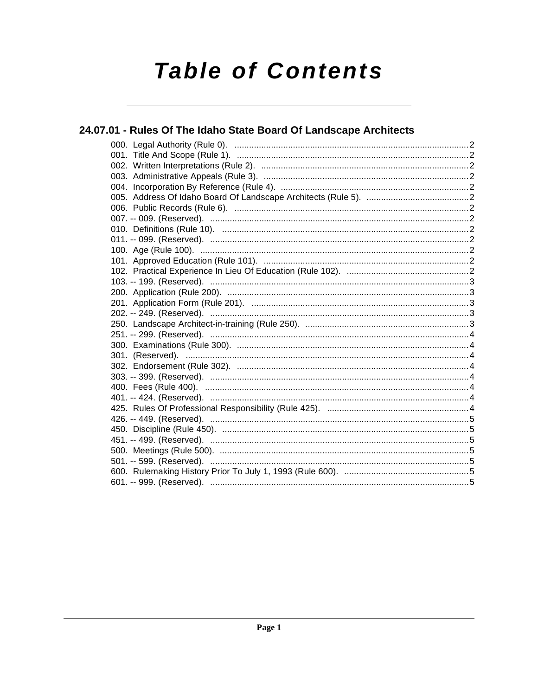# **Table of Contents**

## 24.07.01 - Rules Of The Idaho State Board Of Landscape Architects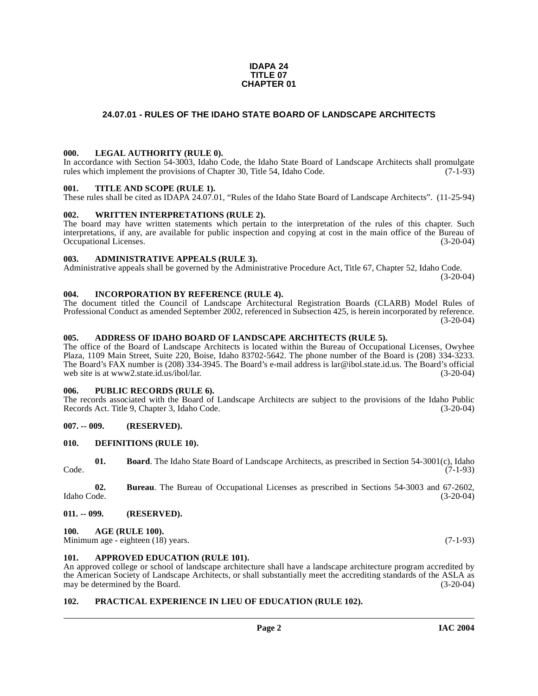#### **IDAPA 24 TITLE 07 CHAPTER 01**

#### <span id="page-1-0"></span>**24.07.01 - RULES OF THE IDAHO STATE BOARD OF LANDSCAPE ARCHITECTS**

#### <span id="page-1-1"></span>**000. LEGAL AUTHORITY (RULE 0).**

In accordance with Section 54-3003, Idaho Code, the Idaho State Board of Landscape Architects shall promulgate rules which implement the provisions of Chapter 30, Title 54, Idaho Code. (7-1-93)

#### <span id="page-1-2"></span>**001. TITLE AND SCOPE (RULE 1).**

These rules shall be cited as IDAPA 24.07.01, "Rules of the Idaho State Board of Landscape Architects". (11-25-94)

#### <span id="page-1-3"></span>**002. WRITTEN INTERPRETATIONS (RULE 2).**

The board may have written statements which pertain to the interpretation of the rules of this chapter. Such interpretations, if any, are available for public inspection and copying at cost in the main office of the Bureau of Occupational Licenses. (3-20-04) Occupational Licenses.

#### <span id="page-1-4"></span>**003. ADMINISTRATIVE APPEALS (RULE 3).**

Administrative appeals shall be governed by the Administrative Procedure Act, Title 67, Chapter 52, Idaho Code. (3-20-04)

#### <span id="page-1-5"></span>**004. INCORPORATION BY REFERENCE (RULE 4).**

The document titled the Council of Landscape Architectural Registration Boards (CLARB) Model Rules of Professional Conduct as amended September 2002, referenced in Subsection 425, is herein incorporated by reference.  $(3-20-04)$ 

#### <span id="page-1-6"></span>**005. ADDRESS OF IDAHO BOARD OF LANDSCAPE ARCHITECTS (RULE 5).**

[The office of the Board of Landscape Architects is located within the Bureau of Occupational Licenses, Owyhee](mailto:lar@ibol.state.id.us) Plaza, 1109 Main Street, Suite 220, Boise, Idaho 83702-5642. The phone number of the Board is (208) 334-3233. The Board's FAX number is (208) 334-3945. The Board's e-mail address is lar@ibol.state.id.us. The Board's official web site is at www2.state.id.us/ibol/lar. (3-20-04) [web site is at](mailto:lar@ibol.state.id.us) www2.state.id.us/ibol/lar.

#### <span id="page-1-7"></span>**006. PUBLIC RECORDS (RULE 6).**

The records associated with the Board of Landscape Architects are subject to the provisions of the Idaho Public Records Act. Title 9, Chapter 3, Idaho Code. (3-20-04)

#### <span id="page-1-8"></span>**007. -- 009. (RESERVED).**

#### <span id="page-1-16"></span><span id="page-1-9"></span>**010. DEFINITIONS (RULE 10).**

|       | <b>Board.</b> The Idaho State Board of Landscape Architects, as prescribed in Section 54-3001(c), Idaho |
|-------|---------------------------------------------------------------------------------------------------------|
| Code. | $(7-1-93)$                                                                                              |

**02. Bureau**. The Bureau of Occupational Licenses as prescribed in Sections 54-3003 and 67-2602, Idaho Code. (3-20-04)

#### <span id="page-1-10"></span>**011. -- 099. (RESERVED).**

#### <span id="page-1-14"></span><span id="page-1-11"></span>**100. AGE (RULE 100).**

Minimum age - eighteen (18) years. (7-1-93)

#### <span id="page-1-15"></span><span id="page-1-12"></span>**101. APPROVED EDUCATION (RULE 101).**

An approved college or school of landscape architecture shall have a landscape architecture program accredited by the American Society of Landscape Architects, or shall substantially meet the accrediting standards of the ASLA as may be determined by the Board. (3-20-04) may be determined by the Board.

#### <span id="page-1-17"></span><span id="page-1-13"></span>**102. PRACTICAL EXPERIENCE IN LIEU OF EDUCATION (RULE 102).**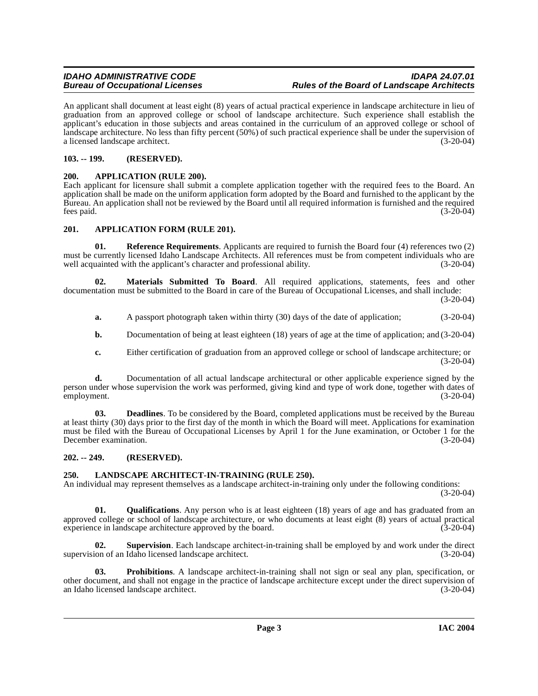An applicant shall document at least eight (8) years of actual practical experience in landscape architecture in lieu of graduation from an approved college or school of landscape architecture. Such experience shall establish the applicant's education in those subjects and areas contained in the curriculum of an approved college or school of landscape architecture. No less than fifty percent (50%) of such practical experience shall be under the supervision of a licensed landscape architect. (3-20-04) a licensed landscape architect.

#### <span id="page-2-0"></span>**103. -- 199. (RESERVED).**

#### <span id="page-2-6"></span><span id="page-2-1"></span>**200. APPLICATION (RULE 200).**

Each applicant for licensure shall submit a complete application together with the required fees to the Board. An application shall be made on the uniform application form adopted by the Board and furnished to the applicant by the Bureau. An application shall not be reviewed by the Board until all required information is furnished and the required fees paid. (3-20-04)  $f$ ees paid.  $(3-20-04)$ 

### <span id="page-2-5"></span><span id="page-2-2"></span>**201. APPLICATION FORM (RULE 201).**

<span id="page-2-9"></span>**01. Reference Requirements**. Applicants are required to furnish the Board four (4) references two (2) must be currently licensed Idaho Landscape Architects. All references must be from competent individuals who are well acquainted with the applicant's character and professional ability. (3-20-04)

**02. Materials Submitted To Board**. All required applications, statements, fees and other documentation must be submitted to the Board in care of the Bureau of Occupational Licenses, and shall include:

(3-20-04)

- <span id="page-2-8"></span>**a.** A passport photograph taken within thirty (30) days of the date of application; (3-20-04)
- **b.** Documentation of being at least eighteen (18) years of age at the time of application; and (3-20-04)
- **c.** Either certification of graduation from an approved college or school of landscape architecture; or (3-20-04)

**d.** Documentation of all actual landscape architectural or other applicable experience signed by the person under whose supervision the work was performed, giving kind and type of work done, together with dates of employment. (3-20-04)

**03. Deadlines**. To be considered by the Board, completed applications must be received by the Bureau at least thirty (30) days prior to the first day of the month in which the Board will meet. Applications for examination must be filed with the Bureau of Occupational Licenses by April 1 for the June examination, or October 1 for the December examination. (3-20-04)

### <span id="page-2-3"></span>**202. -- 249. (RESERVED).**

### <span id="page-2-7"></span><span id="page-2-4"></span>**250. LANDSCAPE ARCHITECT-IN-TRAINING (RULE 250).**

An individual may represent themselves as a landscape architect-in-training only under the following conditions: (3-20-04)

**01. Qualifications**. Any person who is at least eighteen (18) years of age and has graduated from an approved college or school of landscape architecture, or who documents at least eight (8) years of actual practical experience in landscape architecture approved by the board. (3-20-04) experience in landscape architecture approved by the board.

**02. Supervision**. Each landscape architect-in-training shall be employed by and work under the direct supervision of an Idaho licensed landscape architect. (3-20-04)

**03. Prohibitions**. A landscape architect-in-training shall not sign or seal any plan, specification, or other document, and shall not engage in the practice of landscape architecture except under the direct supervision of an Idaho licensed landscape architect.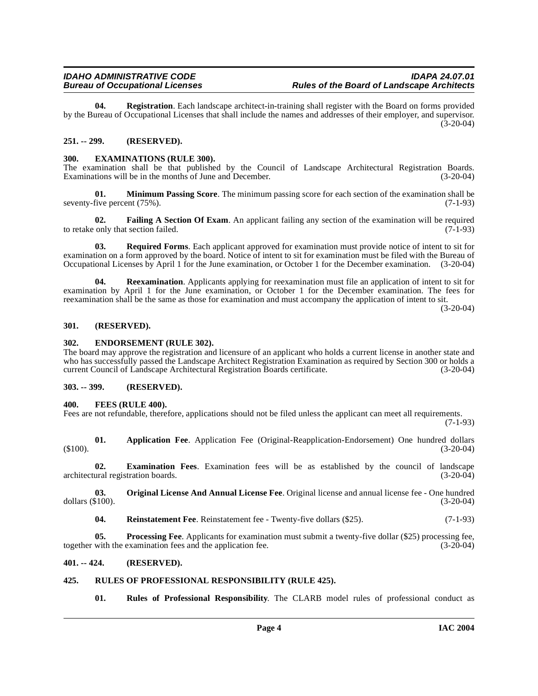**04. Registration**. Each landscape architect-in-training shall register with the Board on forms provided by the Bureau of Occupational Licenses that shall include the names and addresses of their employer, and supervisor.  $(3-20-04)$ 

#### <span id="page-3-0"></span>**251. -- 299. (RESERVED).**

#### <span id="page-3-10"></span><span id="page-3-1"></span>**300. EXAMINATIONS (RULE 300).**

The examination shall be that published by the Council of Landscape Architectural Registration Boards.<br>Examinations will be in the months of June and December. (3-20-04) Examinations will be in the months of June and December.

<span id="page-3-13"></span>**01. Minimum Passing Score**. The minimum passing score for each section of the examination shall be seventy-five percent (75%). (7-1-93)

<span id="page-3-11"></span>**02. Failing A Section Of Exam**. An applicant failing any section of the examination will be required to retake only that section failed. (7-1-93)

<span id="page-3-17"></span>**03. Required Forms**. Each applicant approved for examination must provide notice of intent to sit for examination on a form approved by the board. Notice of intent to sit for examination must be filed with the Bureau of Occupational Licenses by April 1 for the June examination, or October 1 for the December examination. (3-20-04)

**04. Reexamination**. Applicants applying for reexamination must file an application of intent to sit for examination by April 1 for the June examination, or October 1 for the December examination. The fees for reexamination shall be the same as those for examination and must accompany the application of intent to sit.

(3-20-04)

#### <span id="page-3-2"></span>**301. (RESERVED).**

#### <span id="page-3-3"></span>**302. ENDORSEMENT (RULE 302).**

The board may approve the registration and licensure of an applicant who holds a current license in another state and who has successfully passed the Landscape Architect Registration Examination as required by Section 300 or holds a current Council of Landscape Architectural Registration Boards certificate. (3-20-04)

#### <span id="page-3-4"></span>**303. -- 399. (RESERVED).**

#### <span id="page-3-12"></span><span id="page-3-5"></span>**400. FEES (RULE 400).**

Fees are not refundable, therefore, applications should not be filed unless the applicant can meet all requirements.

(7-1-93)

<span id="page-3-8"></span>**01. Application Fee**. Application Fee (Original-Reapplication-Endorsement) One hundred dollars  $(3-20-04)$ 

<span id="page-3-9"></span>**02. Examination Fees**. Examination fees will be as established by the council of landscape architectural registration boards. (3-20-04)

**03. Original License And Annual License Fee**. Original license and annual license fee - One hundred (3-20-04) dollars  $(\$100)$ .

<span id="page-3-16"></span><span id="page-3-15"></span><span id="page-3-14"></span>**04.** Reinstatement Fee. Reinstatement fee - Twenty-five dollars (\$25). (7-1-93)

**05. Processing Fee**. Applicants for examination must submit a twenty-five dollar (\$25) processing fee, with the examination fees and the application fee. (3-20-04) together with the examination fees and the application fee.

#### <span id="page-3-6"></span>**401. -- 424. (RESERVED).**

#### <span id="page-3-7"></span>**425. RULES OF PROFESSIONAL RESPONSIBILITY (RULE 425).**

<span id="page-3-18"></span>**01. Rules of Professional Responsibility**. The CLARB model rules of professional conduct as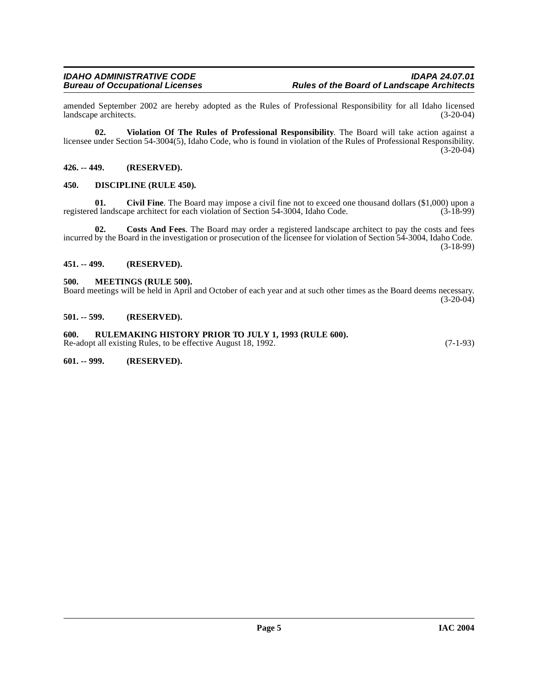amended September 2002 are hereby adopted as the Rules of Professional Responsibility for all Idaho licensed landscape architects.

**02. Violation Of The Rules of Professional Responsibility**. The Board will take action against a licensee under Section 54-3004(5), Idaho Code, who is found in violation of the Rules of Professional Responsibility.  $(3-20-04)$ 

#### <span id="page-4-0"></span>**426. -- 449. (RESERVED).**

#### <span id="page-4-8"></span><span id="page-4-1"></span>**450. DISCIPLINE (RULE 450).**

<span id="page-4-7"></span>**01.** Civil Fine. The Board may impose a civil fine not to exceed one thousand dollars (\$1,000) upon a d landscape architect for each violation of Section 54-3004. Idaho Code. (3-18-99) registered landscape architect for each violation of Section 54-3004, Idaho Code.

**02. Costs And Fees**. The Board may order a registered landscape architect to pay the costs and fees incurred by the Board in the investigation or prosecution of the licensee for violation of Section 54-3004, Idaho Code. (3-18-99)

#### <span id="page-4-2"></span>**451. -- 499. (RESERVED).**

#### <span id="page-4-9"></span><span id="page-4-3"></span>**500. MEETINGS (RULE 500).**

Board meetings will be held in April and October of each year and at such other times as the Board deems necessary.  $(3-20-04)$ 

#### <span id="page-4-4"></span>**501. -- 599. (RESERVED).**

<span id="page-4-5"></span>**600. RULEMAKING HISTORY PRIOR TO JULY 1, 1993 (RULE 600).** Re-adopt all existing Rules, to be effective August 18, 1992. (7-1-93)

<span id="page-4-6"></span>**601. -- 999. (RESERVED).**